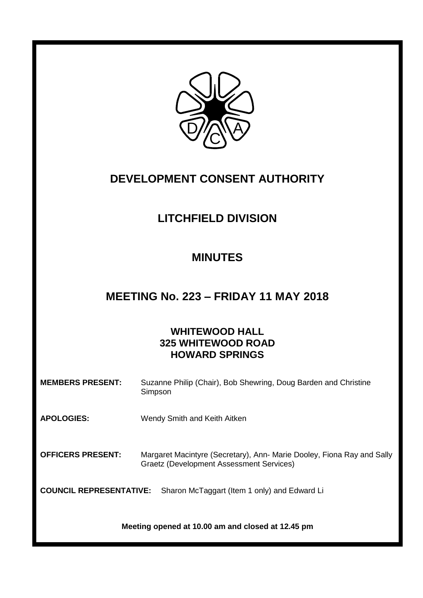

# **DEVELOPMENT CONSENT AUTHORITY**

# **LITCHFIELD DIVISION**

# **MINUTES**

# **MEETING No. 223 – FRIDAY 11 MAY 2018**

# **WHITEWOOD HALL 325 WHITEWOOD ROAD HOWARD SPRINGS**

| <b>MEMBERS PRESENT:</b>        | Suzanne Philip (Chair), Bob Shewring, Doug Barden and Christine<br>Simpson                                                |
|--------------------------------|---------------------------------------------------------------------------------------------------------------------------|
| <b>APOLOGIES:</b>              | Wendy Smith and Keith Aitken                                                                                              |
| <b>OFFICERS PRESENT:</b>       | Margaret Macintyre (Secretary), Ann- Marie Dooley, Fiona Ray and Sally<br><b>Graetz (Development Assessment Services)</b> |
| <b>COUNCIL REPRESENTATIVE:</b> | Sharon McTaggart (Item 1 only) and Edward Li                                                                              |
|                                | Meeting opened at 10.00 am and closed at 12.45 pm                                                                         |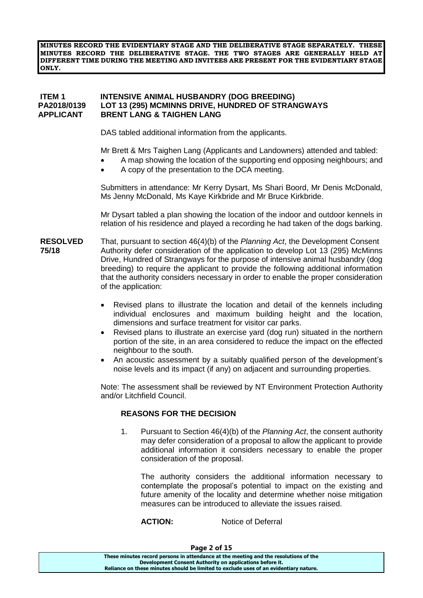**MINUTES RECORD THE EVIDENTIARY STAGE AND THE DELIBERATIVE STAGE SEPARATELY. THESE MINUTES RECORD THE DELIBERATIVE STAGE. THE TWO STAGES ARE GENERALLY HELD AT DIFFERENT TIME DURING THE MEETING AND INVITEES ARE PRESENT FOR THE EVIDENTIARY STAGE ONLY.**

### **ITEM 1 INTENSIVE ANIMAL HUSBANDRY (DOG BREEDING) LOT 13 (295) MCMINNS DRIVE, HUNDRED OF STRANGWAYS APPLICANT BRENT LANG & TAIGHEN LANG**

DAS tabled additional information from the applicants.

Mr Brett & Mrs Taighen Lang (Applicants and Landowners) attended and tabled:

- A map showing the location of the supporting end opposing neighbours; and
- A copy of the presentation to the DCA meeting.

Submitters in attendance: Mr Kerry Dysart, Ms Shari Boord, Mr Denis McDonald, Ms Jenny McDonald, Ms Kaye Kirkbride and Mr Bruce Kirkbride.

Mr Dysart tabled a plan showing the location of the indoor and outdoor kennels in relation of his residence and played a recording he had taken of the dogs barking.

- **RESOLVED** That, pursuant to section 46(4)(b) of the *Planning Act*, the Development Consent **75/18** Authority defer consideration of the application to develop Lot 13 (295) McMinns Drive, Hundred of Strangways for the purpose of intensive animal husbandry (dog breeding) to require the applicant to provide the following additional information that the authority considers necessary in order to enable the proper consideration of the application:
	- Revised plans to illustrate the location and detail of the kennels including individual enclosures and maximum building height and the location, dimensions and surface treatment for visitor car parks.
	- Revised plans to illustrate an exercise yard (dog run) situated in the northern portion of the site, in an area considered to reduce the impact on the effected neighbour to the south.
	- An acoustic assessment by a suitably qualified person of the development's noise levels and its impact (if any) on adjacent and surrounding properties.

Note: The assessment shall be reviewed by NT Environment Protection Authority and/or Litchfield Council.

### **REASONS FOR THE DECISION**

1. Pursuant to Section 46(4)(b) of the *Planning Act*, the consent authority may defer consideration of a proposal to allow the applicant to provide additional information it considers necessary to enable the proper consideration of the proposal.

The authority considers the additional information necessary to contemplate the proposal's potential to impact on the existing and future amenity of the locality and determine whether noise mitigation measures can be introduced to alleviate the issues raised.

**ACTION:** Notice of Deferral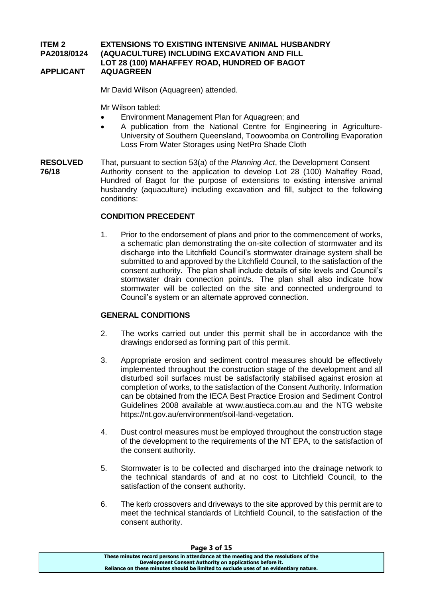#### **ITEM 2 EXTENSIONS TO EXISTING INTENSIVE ANIMAL HUSBANDRY PA2018/0124 (AQUACULTURE) INCLUDING EXCAVATION AND FILL LOT 28 (100) MAHAFFEY ROAD, HUNDRED OF BAGOT APPLICANT AQUAGREEN**

Mr David Wilson (Aquagreen) attended.

Mr Wilson tabled:

- Environment Management Plan for Aquagreen; and
- A publication from the National Centre for Engineering in Agriculture-University of Southern Queensland, Toowoomba on Controlling Evaporation Loss From Water Storages using NetPro Shade Cloth
- **RESOLVED** That, pursuant to section 53(a) of the *Planning Act*, the Development Consent **76/18** Authority consent to the application to develop Lot 28 (100) Mahaffey Road, Hundred of Bagot for the purpose of extensions to existing intensive animal husbandry (aquaculture) including excavation and fill, subject to the following conditions:

### **CONDITION PRECEDENT**

1. Prior to the endorsement of plans and prior to the commencement of works, a schematic plan demonstrating the on-site collection of stormwater and its discharge into the Litchfield Council's stormwater drainage system shall be submitted to and approved by the Litchfield Council, to the satisfaction of the consent authority. The plan shall include details of site levels and Council's stormwater drain connection point/s. The plan shall also indicate how stormwater will be collected on the site and connected underground to Council's system or an alternate approved connection.

### **GENERAL CONDITIONS**

- 2. The works carried out under this permit shall be in accordance with the drawings endorsed as forming part of this permit.
- 3. Appropriate erosion and sediment control measures should be effectively implemented throughout the construction stage of the development and all disturbed soil surfaces must be satisfactorily stabilised against erosion at completion of works, to the satisfaction of the Consent Authority. Information can be obtained from the IECA Best Practice Erosion and Sediment Control Guidelines 2008 available at [www.austieca.com.au](http://www.austieca.com.au/) and the NTG website [https://nt.gov.au/environment/soil-land-vegetation.](https://nt.gov.au/environment/soil-land-vegetation)
- 4. Dust control measures must be employed throughout the construction stage of the development to the requirements of the NT EPA, to the satisfaction of the consent authority.
- 5. Stormwater is to be collected and discharged into the drainage network to the technical standards of and at no cost to Litchfield Council, to the satisfaction of the consent authority.
- 6. The kerb crossovers and driveways to the site approved by this permit are to meet the technical standards of Litchfield Council, to the satisfaction of the consent authority.

| Page 3 of 15                                                                          |  |
|---------------------------------------------------------------------------------------|--|
| These minutes record persons in attendance at the meeting and the resolutions of the  |  |
| Development Consent Authority on applications before it.                              |  |
| Reliance on these minutes should be limited to exclude uses of an evidentiary nature. |  |
|                                                                                       |  |

#### **Page 3 of 15**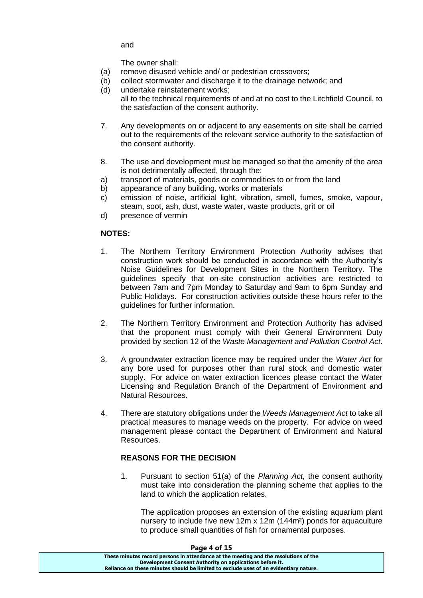and

The owner shall:

- (a) remove disused vehicle and/ or pedestrian crossovers;
- (b) collect stormwater and discharge it to the drainage network; and
- (d) undertake reinstatement works;
	- all to the technical requirements of and at no cost to the Litchfield Council, to the satisfaction of the consent authority.
- 7. Any developments on or adjacent to any easements on site shall be carried out to the requirements of the relevant service authority to the satisfaction of the consent authority.
- 8. The use and development must be managed so that the amenity of the area is not detrimentally affected, through the:
- a) transport of materials, goods or commodities to or from the land
- b) appearance of any building, works or materials
- c) emission of noise, artificial light, vibration, smell, fumes, smoke, vapour, steam, soot, ash, dust, waste water, waste products, grit or oil
- d) presence of vermin

# **NOTES:**

- 1. The Northern Territory Environment Protection Authority advises that construction work should be conducted in accordance with the Authority's Noise Guidelines for Development Sites in the Northern Territory. The guidelines specify that on-site construction activities are restricted to between 7am and 7pm Monday to Saturday and 9am to 6pm Sunday and Public Holidays. For construction activities outside these hours refer to the guidelines for further information.
- 2. The Northern Territory Environment and Protection Authority has advised that the proponent must comply with their General Environment Duty provided by section 12 of the *Waste Management and Pollution Control Act*.
- 3. A groundwater extraction licence may be required under the *Water Act* for any bore used for purposes other than rural stock and domestic water supply. For advice on water extraction licences please contact the Water Licensing and Regulation Branch of the Department of Environment and Natural Resources.
- 4. There are statutory obligations under the *Weeds Management Act* to take all practical measures to manage weeds on the property. For advice on weed management please contact the Department of Environment and Natural Resources.

# **REASONS FOR THE DECISION**

1. Pursuant to section 51(a) of the *Planning Act,* the consent authority must take into consideration the planning scheme that applies to the land to which the application relates.

The application proposes an extension of the existing aquarium plant nursery to include five new 12m x 12m (144m²) ponds for aquaculture to produce small quantities of fish for ornamental purposes.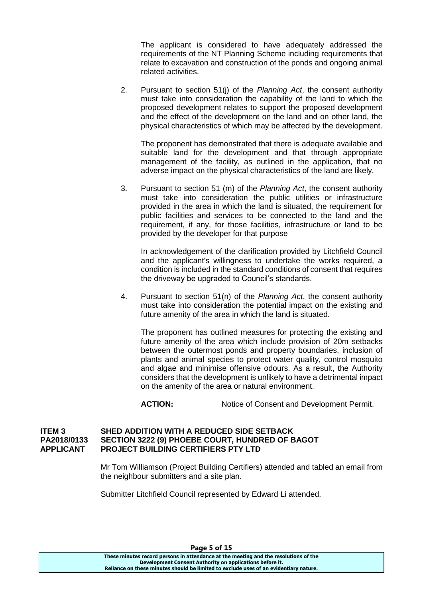The applicant is considered to have adequately addressed the requirements of the NT Planning Scheme including requirements that relate to excavation and construction of the ponds and ongoing animal related activities.

2. Pursuant to section 51(j) of the *Planning Act*, the consent authority must take into consideration the capability of the land to which the proposed development relates to support the proposed development and the effect of the development on the land and on other land, the physical characteristics of which may be affected by the development.

The proponent has demonstrated that there is adequate available and suitable land for the development and that through appropriate management of the facility, as outlined in the application, that no adverse impact on the physical characteristics of the land are likely.

3. Pursuant to section 51 (m) of the *Planning Act*, the consent authority must take into consideration the public utilities or infrastructure provided in the area in which the land is situated, the requirement for public facilities and services to be connected to the land and the requirement, if any, for those facilities, infrastructure or land to be provided by the developer for that purpose

In acknowledgement of the clarification provided by Litchfield Council and the applicant's willingness to undertake the works required, a condition is included in the standard conditions of consent that requires the driveway be upgraded to Council's standards.

4. Pursuant to section 51(n) of the *Planning Act*, the consent authority must take into consideration the potential impact on the existing and future amenity of the area in which the land is situated.

The proponent has outlined measures for protecting the existing and future amenity of the area which include provision of 20m setbacks between the outermost ponds and property boundaries, inclusion of plants and animal species to protect water quality, control mosquito and algae and minimise offensive odours. As a result, the Authority considers that the development is unlikely to have a detrimental impact on the amenity of the area or natural environment.

ACTION: Notice of Consent and Development Permit.

### **ITEM 3 SHED ADDITION WITH A REDUCED SIDE SETBACK PA2018/0133 SECTION 3222 (9) PHOEBE COURT, HUNDRED OF BAGOT APPLICANT PROJECT BUILDING CERTIFIERS PTY LTD**

Mr Tom Williamson (Project Building Certifiers) attended and tabled an email from the neighbour submitters and a site plan.

Submitter Litchfield Council represented by Edward Li attended.

**These minutes record persons in attendance at the meeting and the resolutions of the Development Consent Authority on applications before it. Reliance on these minutes should be limited to exclude uses of an evidentiary nature.**

**Page 5 of 15**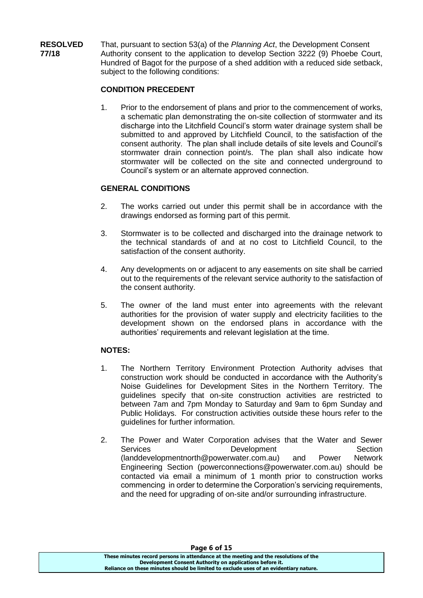**RESOLVED** That, pursuant to section 53(a) of the *Planning Act*, the Development Consent **77/18** Authority consent to the application to develop Section 3222 (9) Phoebe Court, Hundred of Bagot for the purpose of a shed addition with a reduced side setback, subject to the following conditions:

### **CONDITION PRECEDENT**

1. Prior to the endorsement of plans and prior to the commencement of works, a schematic plan demonstrating the on-site collection of stormwater and its discharge into the Litchfield Council's storm water drainage system shall be submitted to and approved by Litchfield Council, to the satisfaction of the consent authority. The plan shall include details of site levels and Council's stormwater drain connection point/s. The plan shall also indicate how stormwater will be collected on the site and connected underground to Council's system or an alternate approved connection.

### **GENERAL CONDITIONS**

- 2. The works carried out under this permit shall be in accordance with the drawings endorsed as forming part of this permit.
- 3. Stormwater is to be collected and discharged into the drainage network to the technical standards of and at no cost to Litchfield Council, to the satisfaction of the consent authority.
- 4. Any developments on or adjacent to any easements on site shall be carried out to the requirements of the relevant service authority to the satisfaction of the consent authority.
- 5. The owner of the land must enter into agreements with the relevant authorities for the provision of water supply and electricity facilities to the development shown on the endorsed plans in accordance with the authorities' requirements and relevant legislation at the time.

# **NOTES:**

- 1. The Northern Territory Environment Protection Authority advises that construction work should be conducted in accordance with the Authority's Noise Guidelines for Development Sites in the Northern Territory. The guidelines specify that on-site construction activities are restricted to between 7am and 7pm Monday to Saturday and 9am to 6pm Sunday and Public Holidays. For construction activities outside these hours refer to the guidelines for further information.
- 2. The Power and Water Corporation advises that the Water and Sewer Services **Development** Development Section [\(landdevelopmentnorth@powerwater.com.au\)](mailto:landdevelopmentnorth@powerwater.com.au) and Power Network Engineering Section [\(powerconnections@powerwater.com.au\)](mailto:powerconnections@powerwater.com.au) should be contacted via email a minimum of 1 month prior to construction works commencing in order to determine the Corporation's servicing requirements, and the need for upgrading of on-site and/or surrounding infrastructure.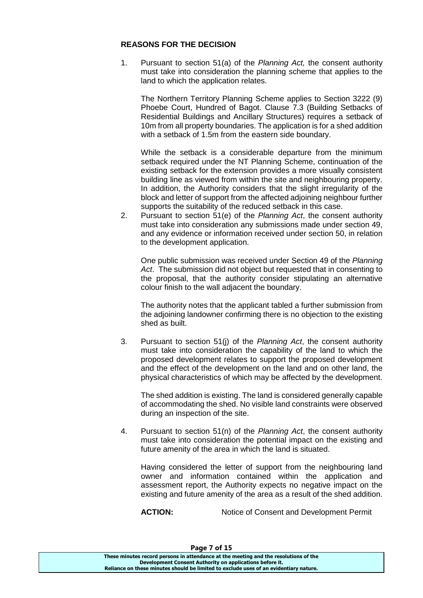### **REASONS FOR THE DECISION**

1. Pursuant to section 51(a) of the *Planning Act,* the consent authority must take into consideration the planning scheme that applies to the land to which the application relates.

The Northern Territory Planning Scheme applies to Section 3222 (9) Phoebe Court, Hundred of Bagot. Clause 7.3 (Building Setbacks of Residential Buildings and Ancillary Structures) requires a setback of 10m from all property boundaries. The application is for a shed addition with a setback of 1.5m from the eastern side boundary.

While the setback is a considerable departure from the minimum setback required under the NT Planning Scheme, continuation of the existing setback for the extension provides a more visually consistent building line as viewed from within the site and neighbouring property. In addition, the Authority considers that the slight irregularity of the block and letter of support from the affected adjoining neighbour further supports the suitability of the reduced setback in this case.

2. Pursuant to section 51(e) of the *Planning Act*, the consent authority must take into consideration any submissions made under section 49, and any evidence or information received under section 50, in relation to the development application.

One public submission was received under Section 49 of the *Planning Act*. The submission did not object but requested that in consenting to the proposal, that the authority consider stipulating an alternative colour finish to the wall adjacent the boundary.

The authority notes that the applicant tabled a further submission from the adjoining landowner confirming there is no objection to the existing shed as built.

3. Pursuant to section 51(j) of the *Planning Act*, the consent authority must take into consideration the capability of the land to which the proposed development relates to support the proposed development and the effect of the development on the land and on other land, the physical characteristics of which may be affected by the development.

The shed addition is existing. The land is considered generally capable of accommodating the shed. No visible land constraints were observed during an inspection of the site.

4. Pursuant to section 51(n) of the *Planning Act*, the consent authority must take into consideration the potential impact on the existing and future amenity of the area in which the land is situated.

Having considered the letter of support from the neighbouring land owner and information contained within the application and assessment report, the Authority expects no negative impact on the existing and future amenity of the area as a result of the shed addition.

**ACTION:** Notice of Consent and Development Permit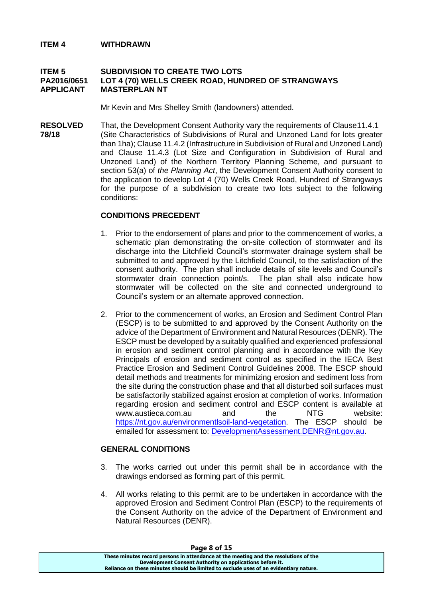#### **ITEM 4 WITHDRAWN**

#### **ITEM 5 SUBDIVISION TO CREATE TWO LOTS PA2016/0651 LOT 4 (70) WELLS CREEK ROAD, HUNDRED OF STRANGWAYS APPLICANT MASTERPLAN NT**

Mr Kevin and Mrs Shelley Smith (landowners) attended.

**RESOLVED** That, the Development Consent Authority vary the requirements of Clause11.4.1 **78/18** (Site Characteristics of Subdivisions of Rural and Unzoned Land for lots greater than 1ha); Clause 11.4.2 (Infrastructure in Subdivision of Rural and Unzoned Land) and Clause 11.4.3 (Lot Size and Configuration in Subdivision of Rural and Unzoned Land) of the Northern Territory Planning Scheme, and pursuant to section 53(a) of *the Planning Act*, the Development Consent Authority consent to the application to develop Lot 4 (70) Wells Creek Road, Hundred of Strangways for the purpose of a subdivision to create two lots subject to the following conditions:

### **CONDITIONS PRECEDENT**

- 1. Prior to the endorsement of plans and prior to the commencement of works, a schematic plan demonstrating the on-site collection of stormwater and its discharge into the Litchfield Council's stormwater drainage system shall be submitted to and approved by the Litchfield Council, to the satisfaction of the consent authority. The plan shall include details of site levels and Council's stormwater drain connection point/s. The plan shall also indicate how stormwater will be collected on the site and connected underground to Council's system or an alternate approved connection.
- 2. Prior to the commencement of works, an Erosion and Sediment Control Plan (ESCP) is to be submitted to and approved by the Consent Authority on the advice of the Department of Environment and Natural Resources (DENR). The ESCP must be developed by a suitably qualified and experienced professional in erosion and sediment control planning and in accordance with the Key Principals of erosion and sediment control as specified in the IECA Best Practice Erosion and Sediment Control Guidelines 2008. The ESCP should detail methods and treatments for minimizing erosion and sediment loss from the site during the construction phase and that all disturbed soil surfaces must be satisfactorily stabilized against erosion at completion of works. Information regarding erosion and sediment control and ESCP content is available at www.austieca.com.au and the NTG website: [https://nt.gov.au/environmentlsoil-land-veqetation.](https://nt.gov.au/environmentlsoil-land-veqetation) The ESCP should be emailed for assessment to: [DevelopmentAssessment.DENR@nt.gov.au.](mailto:DevelopmentAssessment.DENR@nt.gov.au)

### **GENERAL CONDITIONS**

- 3. The works carried out under this permit shall be in accordance with the drawings endorsed as forming part of this permit.
- 4. All works relating to this permit are to be undertaken in accordance with the approved Erosion and Sediment Control Plan (ESCP) to the requirements of the Consent Authority on the advice of the Department of Environment and Natural Resources (DENR).

| Page 8 of 15                                                                          |  |
|---------------------------------------------------------------------------------------|--|
| These minutes record persons in attendance at the meeting and the resolutions of the  |  |
| Development Consent Authority on applications before it.                              |  |
| Reliance on these minutes should be limited to exclude uses of an evidentiary nature. |  |

#### **Page 8 of 15**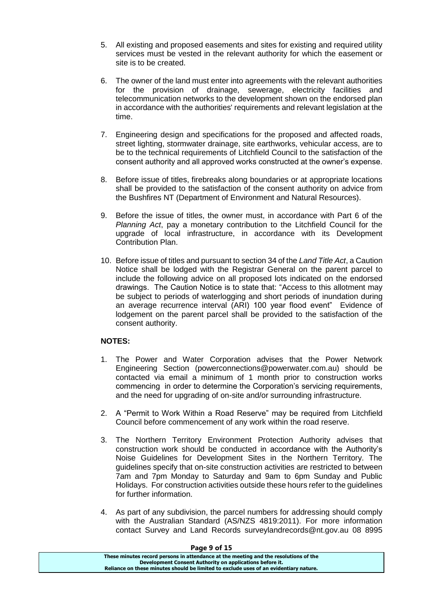- 5. All existing and proposed easements and sites for existing and required utility services must be vested in the relevant authority for which the easement or site is to be created.
- 6. The owner of the land must enter into agreements with the relevant authorities for the provision of drainage, sewerage, electricity facilities and telecommunication networks to the development shown on the endorsed plan in accordance with the authorities' requirements and relevant legislation at the time.
- 7. Engineering design and specifications for the proposed and affected roads, street lighting, stormwater drainage, site earthworks, vehicular access, are to be to the technical requirements of Litchfield Council to the satisfaction of the consent authority and all approved works constructed at the owner's expense.
- 8. Before issue of titles, firebreaks along boundaries or at appropriate locations shall be provided to the satisfaction of the consent authority on advice from the Bushfires NT (Department of Environment and Natural Resources).
- 9. Before the issue of titles, the owner must, in accordance with Part 6 of the *Planning Act*, pay a monetary contribution to the Litchfield Council for the upgrade of local infrastructure, in accordance with its Development Contribution Plan.
- 10. Before issue of titles and pursuant to section 34 of the *Land Title Act*, a Caution Notice shall be lodged with the Registrar General on the parent parcel to include the following advice on all proposed lots indicated on the endorsed drawings. The Caution Notice is to state that: "Access to this allotment may be subject to periods of waterlogging and short periods of inundation during an average recurrence interval (ARI) 100 year flood event" Evidence of lodgement on the parent parcel shall be provided to the satisfaction of the consent authority.

# **NOTES:**

- 1. The Power and Water Corporation advises that the Power Network Engineering Section (powerconnections@powerwater.com.au) should be contacted via email a minimum of 1 month prior to construction works commencing in order to determine the Corporation's servicing requirements, and the need for upgrading of on-site and/or surrounding infrastructure.
- 2. A "Permit to Work Within a Road Reserve" may be required from Litchfield Council before commencement of any work within the road reserve.
- 3. The Northern Territory Environment Protection Authority advises that construction work should be conducted in accordance with the Authority's Noise Guidelines for Development Sites in the Northern Territory. The guidelines specify that on-site construction activities are restricted to between 7am and 7pm Monday to Saturday and 9am to 6pm Sunday and Public Holidays. For construction activities outside these hours refer to the guidelines for further information.
- 4. As part of any subdivision, the parcel numbers for addressing should comply with the Australian Standard (AS/NZS 4819:2011). For more information contact Survey and Land Records surveylandrecords@nt.gov.au 08 8995

| These minutes record persons in attendance at the meeting and the resolutions of the<br>Development Consent Authority on applications before it. |
|--------------------------------------------------------------------------------------------------------------------------------------------------|
|                                                                                                                                                  |
|                                                                                                                                                  |
| Reliance on these minutes should be limited to exclude uses of an evidentiary nature.                                                            |

#### **Page 9 of 15**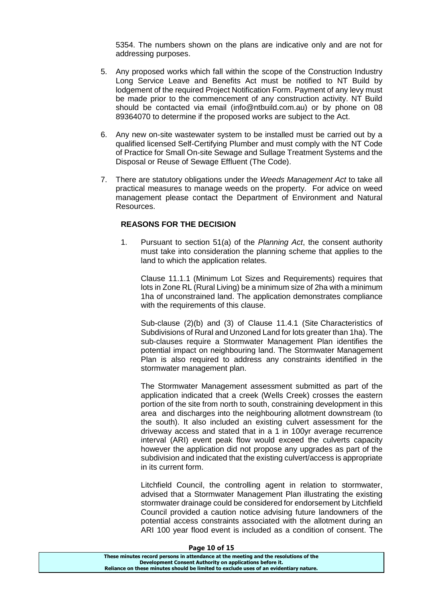5354. The numbers shown on the plans are indicative only and are not for addressing purposes.

- 5. Any proposed works which fall within the scope of the Construction Industry Long Service Leave and Benefits Act must be notified to NT Build by lodgement of the required Project Notification Form. Payment of any levy must be made prior to the commencement of any construction activity. NT Build should be contacted via email (info@ntbuild.com.au) or by phone on 08 89364070 to determine if the proposed works are subject to the Act.
- 6. Any new on-site wastewater system to be installed must be carried out by a qualified licensed Self-Certifying Plumber and must comply with the NT Code of Practice for Small On-site Sewage and Sullage Treatment Systems and the Disposal or Reuse of Sewage Effluent (The Code).
- 7. There are statutory obligations under the *Weeds Management Act* to take all practical measures to manage weeds on the property. For advice on weed management please contact the Department of Environment and Natural Resources.

#### **REASONS FOR THE DECISION**

1. Pursuant to section 51(a) of the *Planning Act*, the consent authority must take into consideration the planning scheme that applies to the land to which the application relates.

Clause 11.1.1 (Minimum Lot Sizes and Requirements) requires that lots in Zone RL (Rural Living) be a minimum size of 2ha with a minimum 1ha of unconstrained land. The application demonstrates compliance with the requirements of this clause.

Sub-clause (2)(b) and (3) of Clause 11.4.1 (Site Characteristics of Subdivisions of Rural and Unzoned Land for lots greater than 1ha). The sub-clauses require a Stormwater Management Plan identifies the potential impact on neighbouring land. The Stormwater Management Plan is also required to address any constraints identified in the stormwater management plan.

The Stormwater Management assessment submitted as part of the application indicated that a creek (Wells Creek) crosses the eastern portion of the site from north to south, constraining development in this area and discharges into the neighbouring allotment downstream (to the south). It also included an existing culvert assessment for the driveway access and stated that in a 1 in 100yr average recurrence interval (ARI) event peak flow would exceed the culverts capacity however the application did not propose any upgrades as part of the subdivision and indicated that the existing culvert/access is appropriate in its current form.

Litchfield Council, the controlling agent in relation to stormwater, advised that a Stormwater Management Plan illustrating the existing stormwater drainage could be considered for endorsement by Litchfield Council provided a caution notice advising future landowners of the potential access constraints associated with the allotment during an ARI 100 year flood event is included as a condition of consent. The

#### **Page 10 of 15**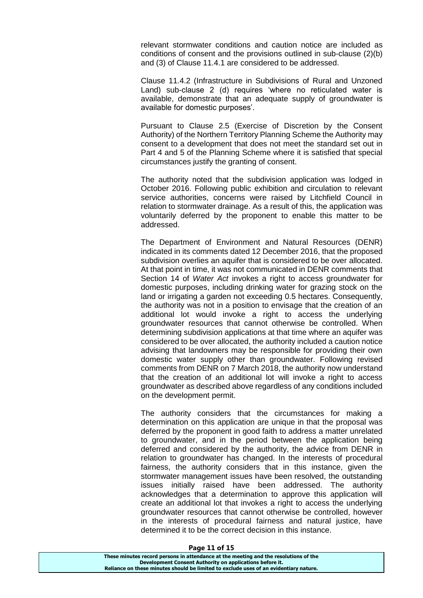relevant stormwater conditions and caution notice are included as conditions of consent and the provisions outlined in sub-clause (2)(b) and (3) of Clause 11.4.1 are considered to be addressed.

Clause 11.4.2 (Infrastructure in Subdivisions of Rural and Unzoned Land) sub-clause 2 (d) requires 'where no reticulated water is available, demonstrate that an adequate supply of groundwater is available for domestic purposes'.

Pursuant to Clause 2.5 (Exercise of Discretion by the Consent Authority) of the Northern Territory Planning Scheme the Authority may consent to a development that does not meet the standard set out in Part 4 and 5 of the Planning Scheme where it is satisfied that special circumstances justify the granting of consent.

The authority noted that the subdivision application was lodged in October 2016. Following public exhibition and circulation to relevant service authorities, concerns were raised by Litchfield Council in relation to stormwater drainage. As a result of this, the application was voluntarily deferred by the proponent to enable this matter to be addressed.

The Department of Environment and Natural Resources (DENR) indicated in its comments dated 12 December 2016, that the proposed subdivision overlies an aquifer that is considered to be over allocated. At that point in time, it was not communicated in DENR comments that Section 14 of *Water Act* invokes a right to access groundwater for domestic purposes, including drinking water for grazing stock on the land or irrigating a garden not exceeding 0.5 hectares. Consequently, the authority was not in a position to envisage that the creation of an additional lot would invoke a right to access the underlying groundwater resources that cannot otherwise be controlled. When determining subdivision applications at that time where an aquifer was considered to be over allocated, the authority included a caution notice advising that landowners may be responsible for providing their own domestic water supply other than groundwater. Following revised comments from DENR on 7 March 2018, the authority now understand that the creation of an additional lot will invoke a right to access groundwater as described above regardless of any conditions included on the development permit.

The authority considers that the circumstances for making a determination on this application are unique in that the proposal was deferred by the proponent in good faith to address a matter unrelated to groundwater, and in the period between the application being deferred and considered by the authority, the advice from DENR in relation to groundwater has changed. In the interests of procedural fairness, the authority considers that in this instance, given the stormwater management issues have been resolved, the outstanding issues initially raised have been addressed. The authority acknowledges that a determination to approve this application will create an additional lot that invokes a right to access the underlying groundwater resources that cannot otherwise be controlled, however in the interests of procedural fairness and natural justice, have determined it to be the correct decision in this instance.

#### **Page 11 of 15**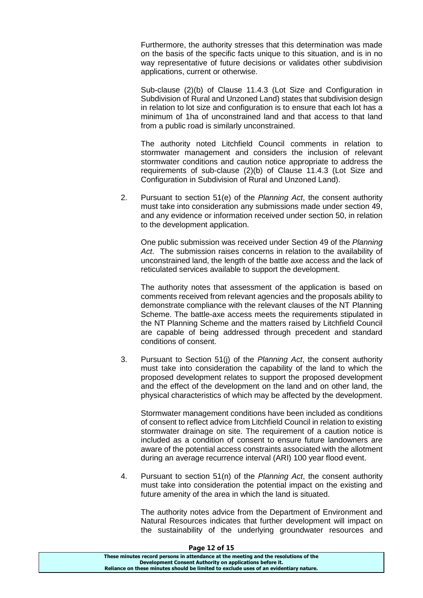Furthermore, the authority stresses that this determination was made on the basis of the specific facts unique to this situation, and is in no way representative of future decisions or validates other subdivision applications, current or otherwise.

Sub-clause (2)(b) of Clause 11.4.3 (Lot Size and Configuration in Subdivision of Rural and Unzoned Land) states that subdivision design in relation to lot size and configuration is to ensure that each lot has a minimum of 1ha of unconstrained land and that access to that land from a public road is similarly unconstrained.

The authority noted Litchfield Council comments in relation to stormwater management and considers the inclusion of relevant stormwater conditions and caution notice appropriate to address the requirements of sub-clause (2)(b) of Clause 11.4.3 (Lot Size and Configuration in Subdivision of Rural and Unzoned Land).

2. Pursuant to section 51(e) of the *Planning Act*, the consent authority must take into consideration any submissions made under section 49, and any evidence or information received under section 50, in relation to the development application.

One public submission was received under Section 49 of the *Planning Act*. The submission raises concerns in relation to the availability of unconstrained land, the length of the battle axe access and the lack of reticulated services available to support the development.

The authority notes that assessment of the application is based on comments received from relevant agencies and the proposals ability to demonstrate compliance with the relevant clauses of the NT Planning Scheme. The battle-axe access meets the requirements stipulated in the NT Planning Scheme and the matters raised by Litchfield Council are capable of being addressed through precedent and standard conditions of consent.

3. Pursuant to Section 51(j) of the *Planning Act*, the consent authority must take into consideration the capability of the land to which the proposed development relates to support the proposed development and the effect of the development on the land and on other land, the physical characteristics of which may be affected by the development.

Stormwater management conditions have been included as conditions of consent to reflect advice from Litchfield Council in relation to existing stormwater drainage on site. The requirement of a caution notice is included as a condition of consent to ensure future landowners are aware of the potential access constraints associated with the allotment during an average recurrence interval (ARI) 100 year flood event.

4. Pursuant to section 51(n) of the *Planning Act*, the consent authority must take into consideration the potential impact on the existing and future amenity of the area in which the land is situated.

The authority notes advice from the Department of Environment and Natural Resources indicates that further development will impact on the sustainability of the underlying groundwater resources and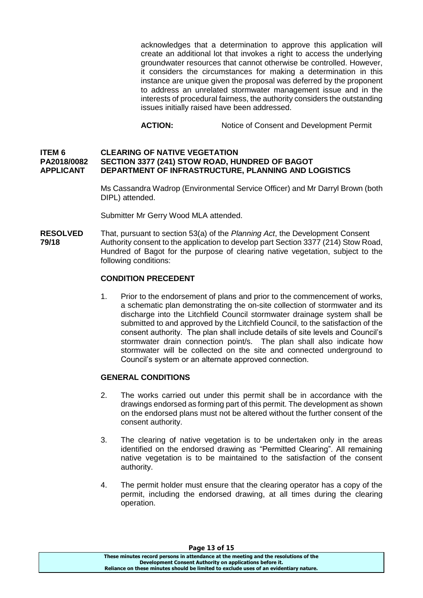acknowledges that a determination to approve this application will create an additional lot that invokes a right to access the underlying groundwater resources that cannot otherwise be controlled. However, it considers the circumstances for making a determination in this instance are unique given the proposal was deferred by the proponent to address an unrelated stormwater management issue and in the interests of procedural fairness, the authority considers the outstanding issues initially raised have been addressed.

**ACTION:** Notice of Consent and Development Permit

#### **ITEM 6 CLEARING OF NATIVE VEGETATION PA2018/0082 SECTION 3377 (241) STOW ROAD, HUNDRED OF BAGOT APPLICANT DEPARTMENT OF INFRASTRUCTURE, PLANNING AND LOGISTICS**

Ms Cassandra Wadrop (Environmental Service Officer) and Mr Darryl Brown (both DIPL) attended.

Submitter Mr Gerry Wood MLA attended.

**RESOLVED** That, pursuant to section 53(a) of the *Planning Act*, the Development Consent **79/18** Authority consent to the application to develop part Section 3377 (214) Stow Road, Hundred of Bagot for the purpose of clearing native vegetation, subject to the following conditions:

### **CONDITION PRECEDENT**

1. Prior to the endorsement of plans and prior to the commencement of works, a schematic plan demonstrating the on-site collection of stormwater and its discharge into the Litchfield Council stormwater drainage system shall be submitted to and approved by the Litchfield Council, to the satisfaction of the consent authority. The plan shall include details of site levels and Council's stormwater drain connection point/s. The plan shall also indicate how stormwater will be collected on the site and connected underground to Council's system or an alternate approved connection.

### **GENERAL CONDITIONS**

- 2. The works carried out under this permit shall be in accordance with the drawings endorsed as forming part of this permit. The development as shown on the endorsed plans must not be altered without the further consent of the consent authority.
- 3. The clearing of native vegetation is to be undertaken only in the areas identified on the endorsed drawing as "Permitted Clearing". All remaining native vegetation is to be maintained to the satisfaction of the consent authority.
- 4. The permit holder must ensure that the clearing operator has a copy of the permit, including the endorsed drawing, at all times during the clearing operation.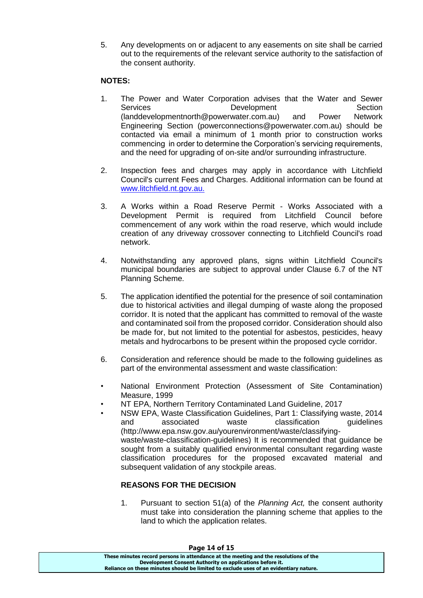5. Any developments on or adjacent to any easements on site shall be carried out to the requirements of the relevant service authority to the satisfaction of the consent authority.

# **NOTES:**

- 1. The Power and Water Corporation advises that the Water and Sewer Services **Development** Development Section (landdevelopmentnorth@powerwater.com.au) and Power Network Engineering Section (powerconnections@powerwater.com.au) should be contacted via email a minimum of 1 month prior to construction works commencing in order to determine the Corporation's servicing requirements, and the need for upgrading of on-site and/or surrounding infrastructure.
- 2. Inspection fees and charges may apply in accordance with Litchfield Council's current Fees and Charges. Additional information can be found at [www.litchfield.nt.gov.au.](http://www.litchfield.nt.gov.au/)
- 3. A Works within a Road Reserve Permit Works Associated with a Development Permit is required from Litchfield Council before commencement of any work within the road reserve, which would include creation of any driveway crossover connecting to Litchfield Council's road network.
- 4. Notwithstanding any approved plans, signs within Litchfield Council's municipal boundaries are subject to approval under Clause 6.7 of the NT Planning Scheme.
- 5. The application identified the potential for the presence of soil contamination due to historical activities and illegal dumping of waste along the proposed corridor. It is noted that the applicant has committed to removal of the waste and contaminated soil from the proposed corridor. Consideration should also be made for, but not limited to the potential for asbestos, pesticides, heavy metals and hydrocarbons to be present within the proposed cycle corridor.
- 6. Consideration and reference should be made to the following guidelines as part of the environmental assessment and waste classification:
- National Environment Protection (Assessment of Site Contamination) Measure, 1999
- NT EPA, Northern Territory Contaminated Land Guideline, 2017
- NSW EPA, Waste Classification Guidelines, Part 1: Classifying waste, 2014 and associated waste classification guidelines (http://www.epa.nsw.gov.au/yourenvironment/waste/classifyingwaste/waste-classification-guidelines) It is recommended that guidance be sought from a suitably qualified environmental consultant regarding waste classification procedures for the proposed excavated material and subsequent validation of any stockpile areas.

# **REASONS FOR THE DECISION**

1. Pursuant to section 51(a) of the *Planning Act,* the consent authority must take into consideration the planning scheme that applies to the land to which the application relates.